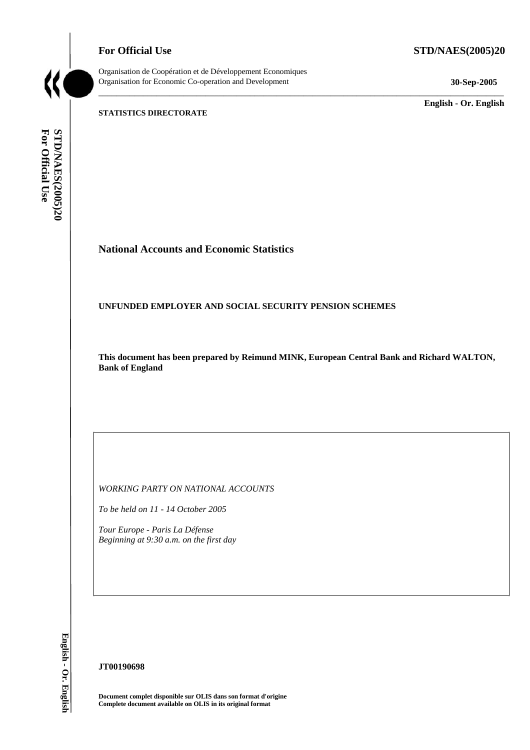**For Official Use STD/NAES(2005)20** 



Organisation de Coopération et de Développement Economiques Organisation for Economic Co-operation and Development **30-Sep-2005** 

\_\_\_\_\_\_\_\_\_\_\_\_\_ **English - Or. English** 

#### **STATISTICS DIRECTORATE**

STD/NAES(2005)20 For Official Use **For Official Use STD/NAES(2005)20 English - Or. English**

# **National Accounts and Economic Statistics**

## **UNFUNDED EMPLOYER AND SOCIAL SECURITY PENSION SCHEMES**

**This document has been prepared by Reimund MINK, European Central Bank and Richard WALTON, Bank of England** 

\_\_\_\_\_\_\_\_\_\_\_\_\_\_\_\_\_\_\_\_\_\_\_\_\_\_\_\_\_\_\_\_\_\_\_\_\_\_\_\_\_\_\_\_\_\_\_\_\_\_\_\_\_\_\_\_\_\_\_\_\_\_\_\_\_\_\_\_\_\_\_\_\_\_\_\_\_\_\_\_\_\_\_\_\_\_\_\_\_\_\_

*WORKING PARTY ON NATIONAL ACCOUNTS* 

*To be held on 11 - 14 October 2005* 

*Tour Europe - Paris La Défense Beginning at 9:30 a.m. on the first day* 

English - Or. English

#### **JT00190698**

**Document complet disponible sur OLIS dans son format d'origine Complete document available on OLIS in its original format**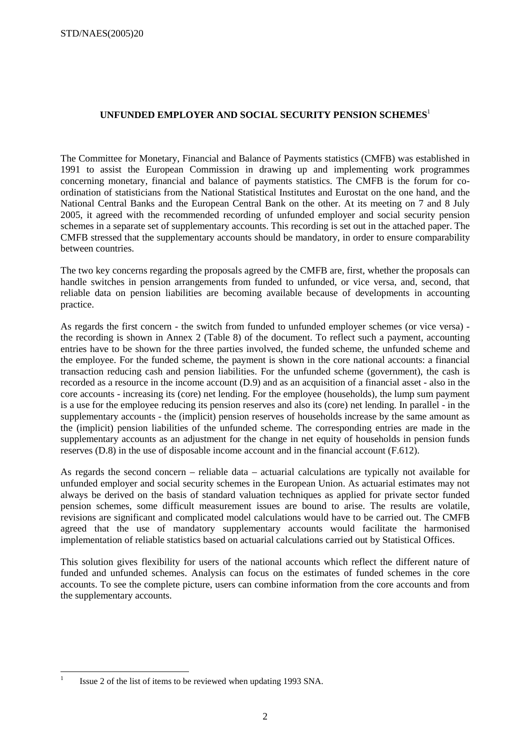# **UNFUNDED EMPLOYER AND SOCIAL SECURITY PENSION SCHEMES**<sup>1</sup>

The Committee for Monetary, Financial and Balance of Payments statistics (CMFB) was established in 1991 to assist the European Commission in drawing up and implementing work programmes concerning monetary, financial and balance of payments statistics. The CMFB is the forum for coordination of statisticians from the National Statistical Institutes and Eurostat on the one hand, and the National Central Banks and the European Central Bank on the other. At its meeting on 7 and 8 July 2005, it agreed with the recommended recording of unfunded employer and social security pension schemes in a separate set of supplementary accounts. This recording is set out in the attached paper. The CMFB stressed that the supplementary accounts should be mandatory, in order to ensure comparability between countries.

The two key concerns regarding the proposals agreed by the CMFB are, first, whether the proposals can handle switches in pension arrangements from funded to unfunded, or vice versa, and, second, that reliable data on pension liabilities are becoming available because of developments in accounting practice.

As regards the first concern - the switch from funded to unfunded employer schemes (or vice versa) the recording is shown in Annex 2 (Table 8) of the document. To reflect such a payment, accounting entries have to be shown for the three parties involved, the funded scheme, the unfunded scheme and the employee. For the funded scheme, the payment is shown in the core national accounts: a financial transaction reducing cash and pension liabilities. For the unfunded scheme (government), the cash is recorded as a resource in the income account (D.9) and as an acquisition of a financial asset - also in the core accounts - increasing its (core) net lending. For the employee (households), the lump sum payment is a use for the employee reducing its pension reserves and also its (core) net lending. In parallel - in the supplementary accounts - the (implicit) pension reserves of households increase by the same amount as the (implicit) pension liabilities of the unfunded scheme. The corresponding entries are made in the supplementary accounts as an adjustment for the change in net equity of households in pension funds reserves (D.8) in the use of disposable income account and in the financial account (F.612).

As regards the second concern – reliable data – actuarial calculations are typically not available for unfunded employer and social security schemes in the European Union. As actuarial estimates may not always be derived on the basis of standard valuation techniques as applied for private sector funded pension schemes, some difficult measurement issues are bound to arise. The results are volatile, revisions are significant and complicated model calculations would have to be carried out. The CMFB agreed that the use of mandatory supplementary accounts would facilitate the harmonised implementation of reliable statistics based on actuarial calculations carried out by Statistical Offices.

This solution gives flexibility for users of the national accounts which reflect the different nature of funded and unfunded schemes. Analysis can focus on the estimates of funded schemes in the core accounts. To see the complete picture, users can combine information from the core accounts and from the supplementary accounts.

<sup>|&</sup>lt;br>|<br>| Issue 2 of the list of items to be reviewed when updating 1993 SNA.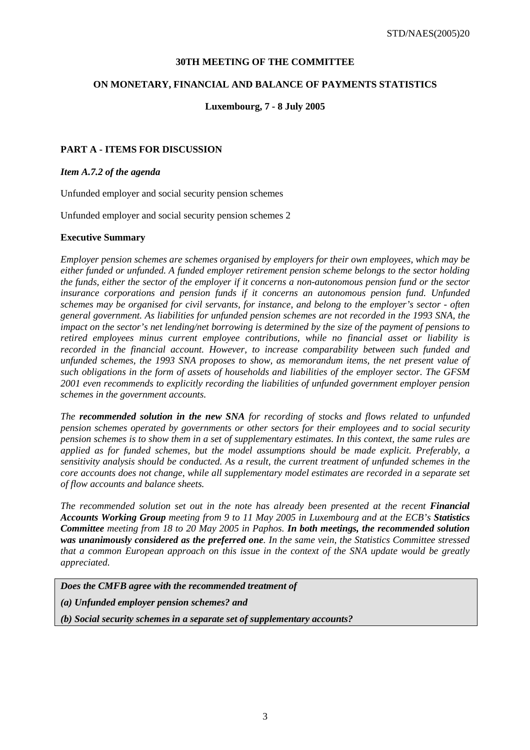## **30TH MEETING OF THE COMMITTEE**

## **ON MONETARY, FINANCIAL AND BALANCE OF PAYMENTS STATISTICS**

#### **Luxembourg, 7 - 8 July 2005**

## **PART A - ITEMS FOR DISCUSSION**

#### *Item A.7.2 of the agenda*

Unfunded employer and social security pension schemes

Unfunded employer and social security pension schemes 2

#### **Executive Summary**

*Employer pension schemes are schemes organised by employers for their own employees, which may be either funded or unfunded. A funded employer retirement pension scheme belongs to the sector holding the funds, either the sector of the employer if it concerns a non-autonomous pension fund or the sector insurance corporations and pension funds if it concerns an autonomous pension fund. Unfunded schemes may be organised for civil servants, for instance, and belong to the employer's sector - often general government. As liabilities for unfunded pension schemes are not recorded in the 1993 SNA, the impact on the sector's net lending/net borrowing is determined by the size of the payment of pensions to retired employees minus current employee contributions, while no financial asset or liability is recorded in the financial account. However, to increase comparability between such funded and unfunded schemes, the 1993 SNA proposes to show, as memorandum items, the net present value of such obligations in the form of assets of households and liabilities of the employer sector. The GFSM 2001 even recommends to explicitly recording the liabilities of unfunded government employer pension schemes in the government accounts.* 

*The recommended solution in the new SNA for recording of stocks and flows related to unfunded pension schemes operated by governments or other sectors for their employees and to social security pension schemes is to show them in a set of supplementary estimates. In this context, the same rules are applied as for funded schemes, but the model assumptions should be made explicit. Preferably, a sensitivity analysis should be conducted. As a result, the current treatment of unfunded schemes in the core accounts does not change, while all supplementary model estimates are recorded in a separate set of flow accounts and balance sheets.* 

*The recommended solution set out in the note has already been presented at the recent Financial Accounts Working Group meeting from 9 to 11 May 2005 in Luxembourg and at the ECB's Statistics Committee meeting from 18 to 20 May 2005 in Paphos. In both meetings, the recommended solution was unanimously considered as the preferred one. In the same vein, the Statistics Committee stressed that a common European approach on this issue in the context of the SNA update would be greatly appreciated.* 

*Does the CMFB agree with the recommended treatment of* 

*(a) Unfunded employer pension schemes? and* 

*(b) Social security schemes in a separate set of supplementary accounts?*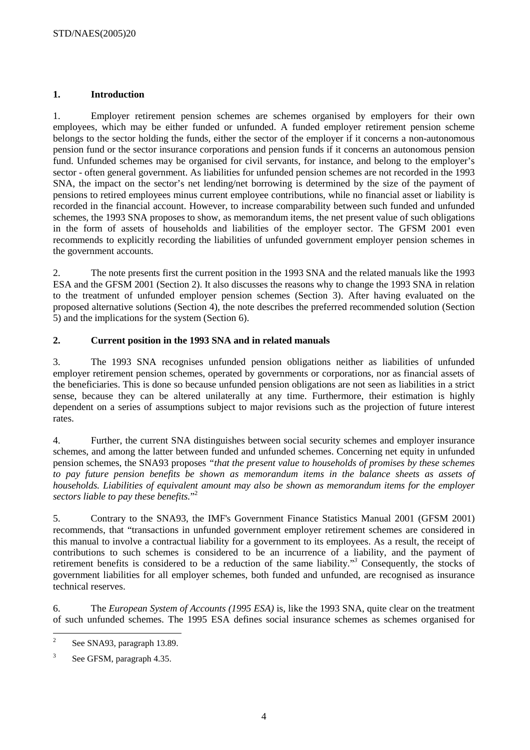## **1. Introduction**

1. Employer retirement pension schemes are schemes organised by employers for their own employees, which may be either funded or unfunded. A funded employer retirement pension scheme belongs to the sector holding the funds, either the sector of the employer if it concerns a non-autonomous pension fund or the sector insurance corporations and pension funds if it concerns an autonomous pension fund. Unfunded schemes may be organised for civil servants, for instance, and belong to the employer's sector - often general government. As liabilities for unfunded pension schemes are not recorded in the 1993 SNA, the impact on the sector's net lending/net borrowing is determined by the size of the payment of pensions to retired employees minus current employee contributions, while no financial asset or liability is recorded in the financial account. However, to increase comparability between such funded and unfunded schemes, the 1993 SNA proposes to show, as memorandum items, the net present value of such obligations in the form of assets of households and liabilities of the employer sector. The GFSM 2001 even recommends to explicitly recording the liabilities of unfunded government employer pension schemes in the government accounts.

2. The note presents first the current position in the 1993 SNA and the related manuals like the 1993 ESA and the GFSM 2001 (Section 2). It also discusses the reasons why to change the 1993 SNA in relation to the treatment of unfunded employer pension schemes (Section 3). After having evaluated on the proposed alternative solutions (Section 4), the note describes the preferred recommended solution (Section 5) and the implications for the system (Section 6).

## **2. Current position in the 1993 SNA and in related manuals**

3. The 1993 SNA recognises unfunded pension obligations neither as liabilities of unfunded employer retirement pension schemes, operated by governments or corporations, nor as financial assets of the beneficiaries. This is done so because unfunded pension obligations are not seen as liabilities in a strict sense, because they can be altered unilaterally at any time. Furthermore, their estimation is highly dependent on a series of assumptions subject to major revisions such as the projection of future interest rates.

4. Further, the current SNA distinguishes between social security schemes and employer insurance schemes, and among the latter between funded and unfunded schemes. Concerning net equity in unfunded pension schemes, the SNA93 proposes *"that the present value to households of promises by these schemes to pay future pension benefits be shown as memorandum items in the balance sheets as assets of households. Liabilities of equivalent amount may also be shown as memorandum items for the employer sectors liable to pay these benefits.*" 2

5. Contrary to the SNA93, the IMF's Government Finance Statistics Manual 2001 (GFSM 2001) recommends, that "transactions in unfunded government employer retirement schemes are considered in this manual to involve a contractual liability for a government to its employees. As a result, the receipt of contributions to such schemes is considered to be an incurrence of a liability, and the payment of retirement benefits is considered to be a reduction of the same liability."*<sup>3</sup>* Consequently, the stocks of government liabilities for all employer schemes, both funded and unfunded, are recognised as insurance technical reserves.

6. The *European System of Accounts (1995 ESA)* is, like the 1993 SNA, quite clear on the treatment of such unfunded schemes. The 1995 ESA defines social insurance schemes as schemes organised for

 $\frac{1}{2}$ See SNA93, paragraph 13.89.

<sup>3</sup> See GFSM, paragraph 4.35.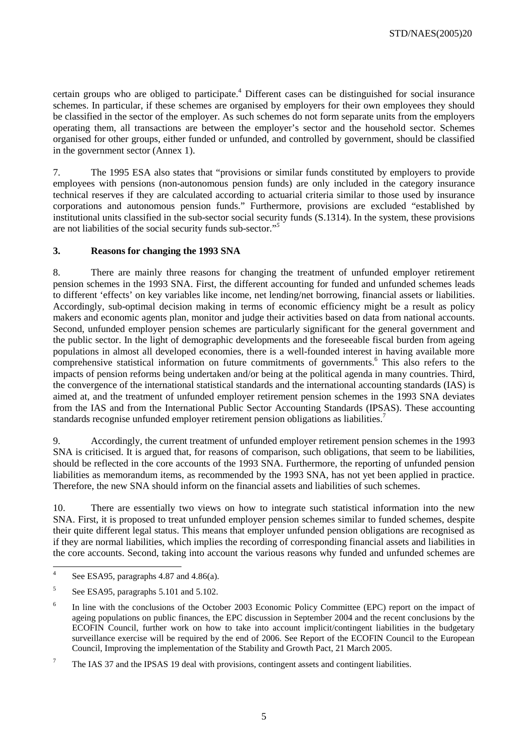certain groups who are obliged to participate.<sup>4</sup> Different cases can be distinguished for social insurance schemes. In particular, if these schemes are organised by employers for their own employees they should be classified in the sector of the employer. As such schemes do not form separate units from the employers operating them, all transactions are between the employer's sector and the household sector. Schemes organised for other groups, either funded or unfunded, and controlled by government, should be classified in the government sector (Annex 1).

7. The 1995 ESA also states that "provisions or similar funds constituted by employers to provide employees with pensions (non-autonomous pension funds) are only included in the category insurance technical reserves if they are calculated according to actuarial criteria similar to those used by insurance corporations and autonomous pension funds." Furthermore, provisions are excluded "established by institutional units classified in the sub-sector social security funds (S.1314). In the system, these provisions are not liabilities of the social security funds sub-sector."*<sup>5</sup>*

## **3. Reasons for changing the 1993 SNA**

8. There are mainly three reasons for changing the treatment of unfunded employer retirement pension schemes in the 1993 SNA. First, the different accounting for funded and unfunded schemes leads to different 'effects' on key variables like income, net lending/net borrowing, financial assets or liabilities. Accordingly, sub-optimal decision making in terms of economic efficiency might be a result as policy makers and economic agents plan, monitor and judge their activities based on data from national accounts. Second, unfunded employer pension schemes are particularly significant for the general government and the public sector. In the light of demographic developments and the foreseeable fiscal burden from ageing populations in almost all developed economies, there is a well-founded interest in having available more comprehensive statistical information on future commitments of governments.<sup>6</sup> This also refers to the impacts of pension reforms being undertaken and/or being at the political agenda in many countries. Third, the convergence of the international statistical standards and the international accounting standards (IAS) is aimed at, and the treatment of unfunded employer retirement pension schemes in the 1993 SNA deviates from the IAS and from the International Public Sector Accounting Standards (IPSAS). These accounting standards recognise unfunded employer retirement pension obligations as liabilities.<sup>7</sup>

9. Accordingly, the current treatment of unfunded employer retirement pension schemes in the 1993 SNA is criticised. It is argued that, for reasons of comparison, such obligations, that seem to be liabilities, should be reflected in the core accounts of the 1993 SNA. Furthermore, the reporting of unfunded pension liabilities as memorandum items, as recommended by the 1993 SNA, has not yet been applied in practice. Therefore, the new SNA should inform on the financial assets and liabilities of such schemes.

10. There are essentially two views on how to integrate such statistical information into the new SNA. First, it is proposed to treat unfunded employer pension schemes similar to funded schemes, despite their quite different legal status. This means that employer unfunded pension obligations are recognised as if they are normal liabilities, which implies the recording of corresponding financial assets and liabilities in the core accounts. Second, taking into account the various reasons why funded and unfunded schemes are

 $\frac{1}{4}$ See ESA95, paragraphs 4.87 and 4.86(a).

<sup>5</sup> See ESA95, paragraphs 5.101 and 5.102.

<sup>6</sup> In line with the conclusions of the October 2003 Economic Policy Committee (EPC) report on the impact of ageing populations on public finances, the EPC discussion in September 2004 and the recent conclusions by the ECOFIN Council, further work on how to take into account implicit/contingent liabilities in the budgetary surveillance exercise will be required by the end of 2006. See Report of the ECOFIN Council to the European Council, Improving the implementation of the Stability and Growth Pact, 21 March 2005.

<sup>7</sup> The IAS 37 and the IPSAS 19 deal with provisions, contingent assets and contingent liabilities.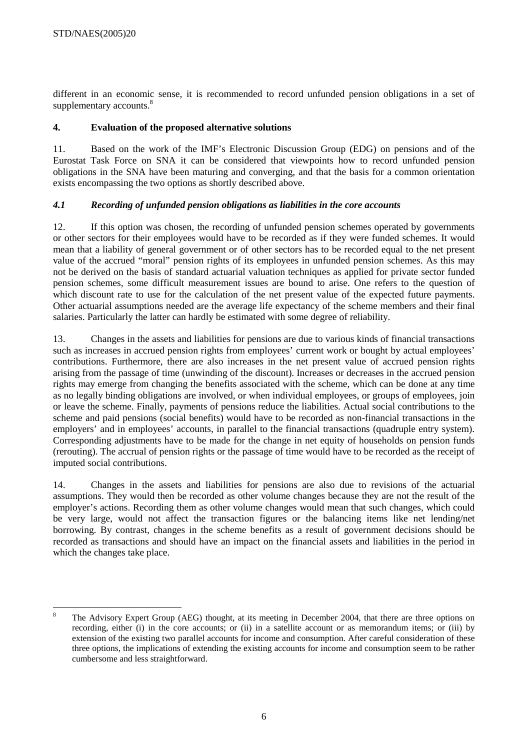different in an economic sense, it is recommended to record unfunded pension obligations in a set of supplementary accounts.<sup>8</sup>

# **4. Evaluation of the proposed alternative solutions**

11. Based on the work of the IMF's Electronic Discussion Group (EDG) on pensions and of the Eurostat Task Force on SNA it can be considered that viewpoints how to record unfunded pension obligations in the SNA have been maturing and converging, and that the basis for a common orientation exists encompassing the two options as shortly described above.

# *4.1 Recording of unfunded pension obligations as liabilities in the core accounts*

12. If this option was chosen, the recording of unfunded pension schemes operated by governments or other sectors for their employees would have to be recorded as if they were funded schemes. It would mean that a liability of general government or of other sectors has to be recorded equal to the net present value of the accrued "moral" pension rights of its employees in unfunded pension schemes. As this may not be derived on the basis of standard actuarial valuation techniques as applied for private sector funded pension schemes, some difficult measurement issues are bound to arise. One refers to the question of which discount rate to use for the calculation of the net present value of the expected future payments. Other actuarial assumptions needed are the average life expectancy of the scheme members and their final salaries. Particularly the latter can hardly be estimated with some degree of reliability.

13. Changes in the assets and liabilities for pensions are due to various kinds of financial transactions such as increases in accrued pension rights from employees' current work or bought by actual employees' contributions. Furthermore, there are also increases in the net present value of accrued pension rights arising from the passage of time (unwinding of the discount). Increases or decreases in the accrued pension rights may emerge from changing the benefits associated with the scheme, which can be done at any time as no legally binding obligations are involved, or when individual employees, or groups of employees, join or leave the scheme. Finally, payments of pensions reduce the liabilities. Actual social contributions to the scheme and paid pensions (social benefits) would have to be recorded as non-financial transactions in the employers' and in employees' accounts, in parallel to the financial transactions (quadruple entry system). Corresponding adjustments have to be made for the change in net equity of households on pension funds (rerouting). The accrual of pension rights or the passage of time would have to be recorded as the receipt of imputed social contributions.

14. Changes in the assets and liabilities for pensions are also due to revisions of the actuarial assumptions. They would then be recorded as other volume changes because they are not the result of the employer's actions. Recording them as other volume changes would mean that such changes, which could be very large, would not affect the transaction figures or the balancing items like net lending/net borrowing. By contrast, changes in the scheme benefits as a result of government decisions should be recorded as transactions and should have an impact on the financial assets and liabilities in the period in which the changes take place.

 8 The Advisory Expert Group (AEG) thought, at its meeting in December 2004, that there are three options on recording, either (i) in the core accounts; or (ii) in a satellite account or as memorandum items; or (iii) by extension of the existing two parallel accounts for income and consumption. After careful consideration of these three options, the implications of extending the existing accounts for income and consumption seem to be rather cumbersome and less straightforward.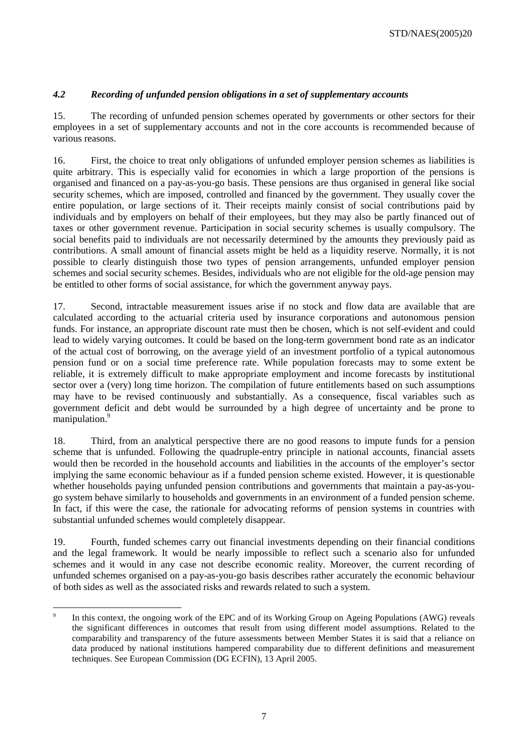# *4.2 Recording of unfunded pension obligations in a set of supplementary accounts*

15. The recording of unfunded pension schemes operated by governments or other sectors for their employees in a set of supplementary accounts and not in the core accounts is recommended because of various reasons.

16. First, the choice to treat only obligations of unfunded employer pension schemes as liabilities is quite arbitrary. This is especially valid for economies in which a large proportion of the pensions is organised and financed on a pay-as-you-go basis. These pensions are thus organised in general like social security schemes, which are imposed, controlled and financed by the government. They usually cover the entire population, or large sections of it. Their receipts mainly consist of social contributions paid by individuals and by employers on behalf of their employees, but they may also be partly financed out of taxes or other government revenue. Participation in social security schemes is usually compulsory. The social benefits paid to individuals are not necessarily determined by the amounts they previously paid as contributions. A small amount of financial assets might be held as a liquidity reserve. Normally, it is not possible to clearly distinguish those two types of pension arrangements, unfunded employer pension schemes and social security schemes. Besides, individuals who are not eligible for the old-age pension may be entitled to other forms of social assistance, for which the government anyway pays.

17. Second, intractable measurement issues arise if no stock and flow data are available that are calculated according to the actuarial criteria used by insurance corporations and autonomous pension funds. For instance, an appropriate discount rate must then be chosen, which is not self-evident and could lead to widely varying outcomes. It could be based on the long-term government bond rate as an indicator of the actual cost of borrowing, on the average yield of an investment portfolio of a typical autonomous pension fund or on a social time preference rate. While population forecasts may to some extent be reliable, it is extremely difficult to make appropriate employment and income forecasts by institutional sector over a (very) long time horizon. The compilation of future entitlements based on such assumptions may have to be revised continuously and substantially. As a consequence, fiscal variables such as government deficit and debt would be surrounded by a high degree of uncertainty and be prone to manipulation.<sup>9</sup>

18. Third, from an analytical perspective there are no good reasons to impute funds for a pension scheme that is unfunded. Following the quadruple-entry principle in national accounts, financial assets would then be recorded in the household accounts and liabilities in the accounts of the employer's sector implying the same economic behaviour as if a funded pension scheme existed. However, it is questionable whether households paying unfunded pension contributions and governments that maintain a pay-as-yougo system behave similarly to households and governments in an environment of a funded pension scheme. In fact, if this were the case, the rationale for advocating reforms of pension systems in countries with substantial unfunded schemes would completely disappear.

19. Fourth, funded schemes carry out financial investments depending on their financial conditions and the legal framework. It would be nearly impossible to reflect such a scenario also for unfunded schemes and it would in any case not describe economic reality. Moreover, the current recording of unfunded schemes organised on a pay-as-you-go basis describes rather accurately the economic behaviour of both sides as well as the associated risks and rewards related to such a system.

 $\overline{a}$ In this context, the ongoing work of the EPC and of its Working Group on Ageing Populations (AWG) reveals the significant differences in outcomes that result from using different model assumptions. Related to the comparability and transparency of the future assessments between Member States it is said that a reliance on data produced by national institutions hampered comparability due to different definitions and measurement techniques. See European Commission (DG ECFIN), 13 April 2005.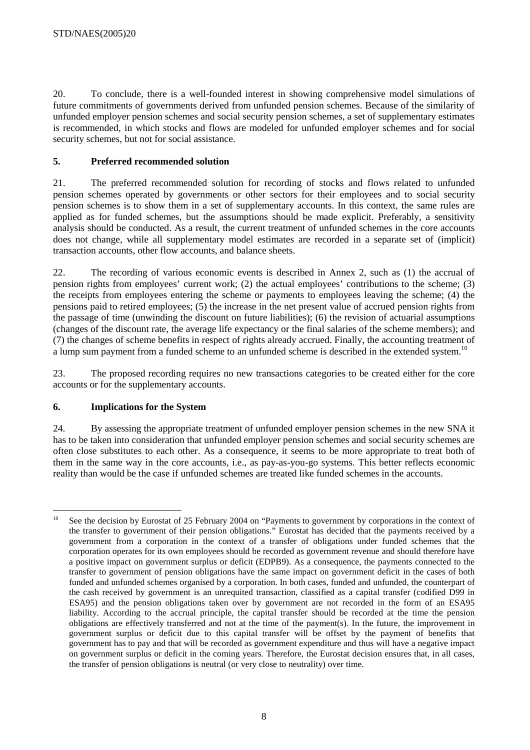20. To conclude, there is a well-founded interest in showing comprehensive model simulations of future commitments of governments derived from unfunded pension schemes. Because of the similarity of unfunded employer pension schemes and social security pension schemes, a set of supplementary estimates is recommended, in which stocks and flows are modeled for unfunded employer schemes and for social security schemes, but not for social assistance.

# **5. Preferred recommended solution**

21. The preferred recommended solution for recording of stocks and flows related to unfunded pension schemes operated by governments or other sectors for their employees and to social security pension schemes is to show them in a set of supplementary accounts. In this context, the same rules are applied as for funded schemes, but the assumptions should be made explicit. Preferably, a sensitivity analysis should be conducted. As a result, the current treatment of unfunded schemes in the core accounts does not change, while all supplementary model estimates are recorded in a separate set of (implicit) transaction accounts, other flow accounts, and balance sheets.

22. The recording of various economic events is described in Annex 2, such as (1) the accrual of pension rights from employees' current work; (2) the actual employees' contributions to the scheme; (3) the receipts from employees entering the scheme or payments to employees leaving the scheme; (4) the pensions paid to retired employees; (5) the increase in the net present value of accrued pension rights from the passage of time (unwinding the discount on future liabilities); (6) the revision of actuarial assumptions (changes of the discount rate, the average life expectancy or the final salaries of the scheme members); and (7) the changes of scheme benefits in respect of rights already accrued. Finally, the accounting treatment of a lump sum payment from a funded scheme to an unfunded scheme is described in the extended system.<sup>10</sup>

23. The proposed recording requires no new transactions categories to be created either for the core accounts or for the supplementary accounts.

# **6. Implications for the System**

24. By assessing the appropriate treatment of unfunded employer pension schemes in the new SNA it has to be taken into consideration that unfunded employer pension schemes and social security schemes are often close substitutes to each other. As a consequence, it seems to be more appropriate to treat both of them in the same way in the core accounts, i.e., as pay-as-you-go systems. This better reflects economic reality than would be the case if unfunded schemes are treated like funded schemes in the accounts.

 $10<sup>10</sup>$ See the decision by Eurostat of 25 February 2004 on "Payments to government by corporations in the context of the transfer to government of their pension obligations." Eurostat has decided that the payments received by a government from a corporation in the context of a transfer of obligations under funded schemes that the corporation operates for its own employees should be recorded as government revenue and should therefore have a positive impact on government surplus or deficit (EDPB9). As a consequence, the payments connected to the transfer to government of pension obligations have the same impact on government deficit in the cases of both funded and unfunded schemes organised by a corporation. In both cases, funded and unfunded, the counterpart of the cash received by government is an unrequited transaction, classified as a capital transfer (codified D99 in ESA95) and the pension obligations taken over by government are not recorded in the form of an ESA95 liability. According to the accrual principle, the capital transfer should be recorded at the time the pension obligations are effectively transferred and not at the time of the payment(s). In the future, the improvement in government surplus or deficit due to this capital transfer will be offset by the payment of benefits that government has to pay and that will be recorded as government expenditure and thus will have a negative impact on government surplus or deficit in the coming years. Therefore, the Eurostat decision ensures that, in all cases, the transfer of pension obligations is neutral (or very close to neutrality) over time.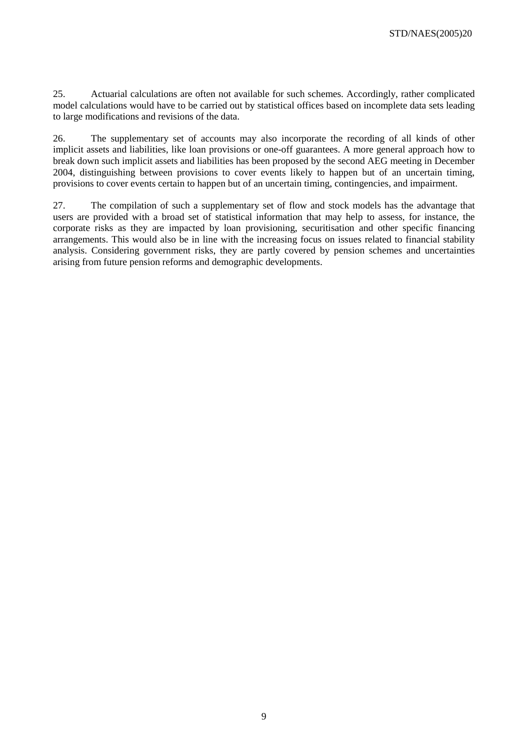25. Actuarial calculations are often not available for such schemes. Accordingly, rather complicated model calculations would have to be carried out by statistical offices based on incomplete data sets leading to large modifications and revisions of the data.

26. The supplementary set of accounts may also incorporate the recording of all kinds of other implicit assets and liabilities, like loan provisions or one-off guarantees. A more general approach how to break down such implicit assets and liabilities has been proposed by the second AEG meeting in December 2004, distinguishing between provisions to cover events likely to happen but of an uncertain timing, provisions to cover events certain to happen but of an uncertain timing, contingencies, and impairment.

27. The compilation of such a supplementary set of flow and stock models has the advantage that users are provided with a broad set of statistical information that may help to assess, for instance, the corporate risks as they are impacted by loan provisioning, securitisation and other specific financing arrangements. This would also be in line with the increasing focus on issues related to financial stability analysis. Considering government risks, they are partly covered by pension schemes and uncertainties arising from future pension reforms and demographic developments.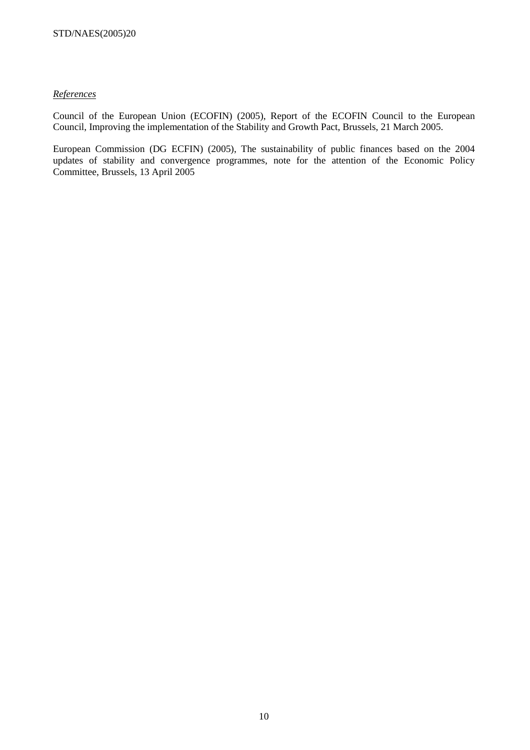## *References*

Council of the European Union (ECOFIN) (2005), Report of the ECOFIN Council to the European Council, Improving the implementation of the Stability and Growth Pact, Brussels, 21 March 2005.

European Commission (DG ECFIN) (2005), The sustainability of public finances based on the 2004 updates of stability and convergence programmes, note for the attention of the Economic Policy Committee, Brussels, 13 April 2005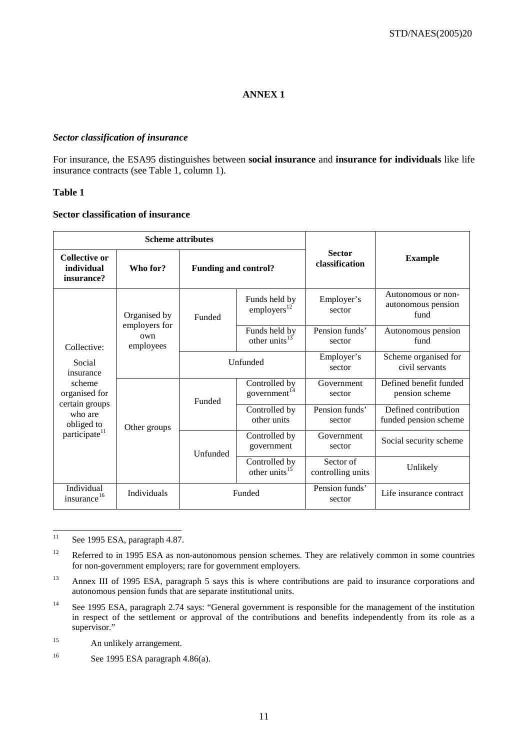# **ANNEX 1**

#### *Sector classification of insurance*

For insurance, the ESA95 distinguishes between **social insurance** and **insurance for individuals** like life insurance contracts (see Table 1, column 1).

#### **Table 1**

#### **Sector classification of insurance**

|                                                                                                                                       | <b>Scheme attributes</b>                          |                                   |                                          |                                 |                                                  |
|---------------------------------------------------------------------------------------------------------------------------------------|---------------------------------------------------|-----------------------------------|------------------------------------------|---------------------------------|--------------------------------------------------|
| <b>Collective or</b><br>individual<br>insurance?                                                                                      | Who for?                                          | <b>Funding and control?</b>       |                                          | <b>Sector</b><br>classification | <b>Example</b>                                   |
| Collective:<br>Social<br>insurance<br>scheme<br>organised for<br>certain groups<br>who are<br>obliged to<br>participate <sup>11</sup> | Organised by<br>employers for<br>own<br>employees | Funded                            | Funds held by<br>employers <sup>12</sup> | Employer's<br>sector            | Autonomous or non-<br>autonomous pension<br>fund |
|                                                                                                                                       |                                                   |                                   | Funds held by<br>other units $13$        | Pension funds'<br>sector        | Autonomous pension<br>fund                       |
|                                                                                                                                       |                                                   |                                   | Unfunded                                 |                                 | Scheme organised for<br>civil servants           |
|                                                                                                                                       |                                                   | Funded                            | Controlled by<br>government $14$         | Government<br>sector            | Defined benefit funded<br>pension scheme         |
|                                                                                                                                       | Other groups                                      |                                   | Controlled by<br>other units             | Pension funds'<br>sector        | Defined contribution<br>funded pension scheme    |
|                                                                                                                                       | Unfunded                                          | Controlled by<br>government       | Government<br>sector                     | Social security scheme          |                                                  |
|                                                                                                                                       |                                                   | Controlled by<br>other units $15$ | Sector of<br>controlling units           | Unlikely                        |                                                  |
| Individual<br>insurance <sup>16</sup>                                                                                                 | Individuals                                       |                                   | Funded                                   | Pension funds'<br>sector        | Life insurance contract                          |

 $11\,$ See 1995 ESA, paragraph 4.87.

<sup>&</sup>lt;sup>12</sup> Referred to in 1995 ESA as non-autonomous pension schemes. They are relatively common in some countries for non-government employers; rare for government employers.

<sup>&</sup>lt;sup>13</sup> Annex III of 1995 ESA, paragraph 5 says this is where contributions are paid to insurance corporations and autonomous pension funds that are separate institutional units.

<sup>&</sup>lt;sup>14</sup> See 1995 ESA, paragraph 2.74 says: "General government is responsible for the management of the institution in respect of the settlement or approval of the contributions and benefits independently from its role as a supervisor."

<sup>&</sup>lt;sup>15</sup> An unlikely arrangement.

<sup>16</sup> See 1995 ESA paragraph 4.86(a).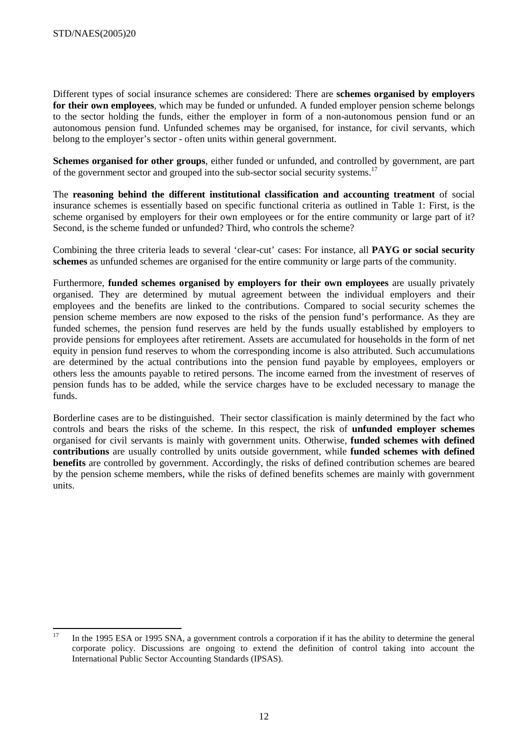Different types of social insurance schemes are considered: There are **schemes organised by employers for their own employees**, which may be funded or unfunded. A funded employer pension scheme belongs to the sector holding the funds, either the employer in form of a non-autonomous pension fund or an autonomous pension fund. Unfunded schemes may be organised, for instance, for civil servants, which belong to the employer's sector - often units within general government.

**Schemes organised for other groups**, either funded or unfunded, and controlled by government, are part of the government sector and grouped into the sub-sector social security systems.<sup>17</sup>

The **reasoning behind the different institutional classification and accounting treatment** of social insurance schemes is essentially based on specific functional criteria as outlined in Table 1: First, is the scheme organised by employers for their own employees or for the entire community or large part of it? Second, is the scheme funded or unfunded? Third, who controls the scheme?

Combining the three criteria leads to several 'clear-cut' cases: For instance, all **PAYG or social security schemes** as unfunded schemes are organised for the entire community or large parts of the community.

Furthermore, **funded schemes organised by employers for their own employees** are usually privately organised. They are determined by mutual agreement between the individual employers and their employees and the benefits are linked to the contributions. Compared to social security schemes the pension scheme members are now exposed to the risks of the pension fund's performance. As they are funded schemes, the pension fund reserves are held by the funds usually established by employers to provide pensions for employees after retirement. Assets are accumulated for households in the form of net equity in pension fund reserves to whom the corresponding income is also attributed. Such accumulations are determined by the actual contributions into the pension fund payable by employees, employers or others less the amounts payable to retired persons. The income earned from the investment of reserves of pension funds has to be added, while the service charges have to be excluded necessary to manage the funds.

Borderline cases are to be distinguished. Their sector classification is mainly determined by the fact who controls and bears the risks of the scheme. In this respect, the risk of **unfunded employer schemes**  organised for civil servants is mainly with government units. Otherwise, **funded schemes with defined contributions** are usually controlled by units outside government, while **funded schemes with defined benefits** are controlled by government. Accordingly, the risks of defined contribution schemes are beared by the pension scheme members, while the risks of defined benefits schemes are mainly with government units.

 $17$ In the 1995 ESA or 1995 SNA, a government controls a corporation if it has the ability to determine the general corporate policy. Discussions are ongoing to extend the definition of control taking into account the International Public Sector Accounting Standards (IPSAS).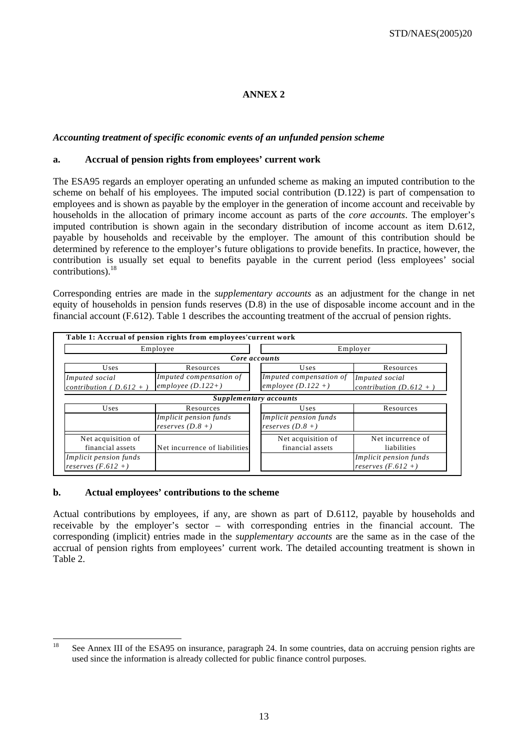# **ANNEX 2**

## *Accounting treatment of specific economic events of an unfunded pension scheme*

#### **a. Accrual of pension rights from employees' current work**

The ESA95 regards an employer operating an unfunded scheme as making an imputed contribution to the scheme on behalf of his employees. The imputed social contribution (D.122) is part of compensation to employees and is shown as payable by the employer in the generation of income account and receivable by households in the allocation of primary income account as parts of the *core accounts*. The employer's imputed contribution is shown again in the secondary distribution of income account as item D.612, payable by households and receivable by the employer. The amount of this contribution should be determined by reference to the employer's future obligations to provide benefits. In practice, however, the contribution is usually set equal to benefits payable in the current period (less employees' social contributions).<sup>18</sup>

Corresponding entries are made in the *supplementary accounts* as an adjustment for the change in net equity of households in pension funds reserves (D.8) in the use of disposable income account and in the financial account (F.612). Table 1 describes the accounting treatment of the accrual of pension rights.

|                                                   | Table 1: Accrual of pension rights from employees' current work |                      |                         |                          |  |
|---------------------------------------------------|-----------------------------------------------------------------|----------------------|-------------------------|--------------------------|--|
|                                                   | Employee                                                        |                      | Employer                |                          |  |
|                                                   | Core accounts                                                   |                      |                         |                          |  |
| Uses<br>Resources                                 |                                                                 | Uses                 |                         | Resources                |  |
| Imputed social                                    | Imputed compensation of                                         |                      | Imputed compensation of | Imputed social           |  |
| employee $(D.122+)$<br>contribution ( $D.612 +$ ) |                                                                 | employee $(D.122 +)$ |                         | contribution $(D.612 +)$ |  |
| Supplementary accounts                            |                                                                 |                      |                         |                          |  |
| Uses                                              | Resources                                                       |                      | Uses                    | Resources                |  |
|                                                   | <i>Implicit pension funds</i>                                   |                      | Implicit pension funds  |                          |  |
| reserves $(D.8 +)$                                |                                                                 |                      | reserves $(D.8 +)$      |                          |  |
| Net acquisition of                                |                                                                 |                      | Net acquisition of      | Net incurrence of        |  |
| financial assets                                  | Net incurrence of liabilities                                   |                      | financial assets        | liabilities              |  |
| Implicit pension funds                            |                                                                 |                      |                         | Implicit pension funds   |  |
| reserves $(F.612 +)$                              |                                                                 |                      |                         | reserves $(F.612 +)$     |  |

## **b. Actual employees' contributions to the scheme**

Actual contributions by employees, if any, are shown as part of D.6112, payable by households and receivable by the employer's sector – with corresponding entries in the financial account. The corresponding (implicit) entries made in the *supplementary accounts* are the same as in the case of the accrual of pension rights from employees' current work. The detailed accounting treatment is shown in Table 2.

<sup>18</sup> See Annex III of the ESA95 on insurance, paragraph 24. In some countries, data on accruing pension rights are used since the information is already collected for public finance control purposes.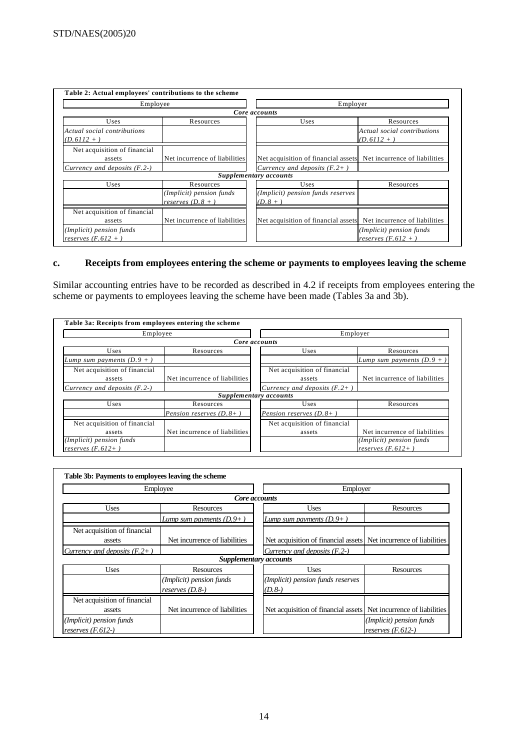| Employee                                                                  |                                                               | Employer                                                                                             |                                            |  |  |
|---------------------------------------------------------------------------|---------------------------------------------------------------|------------------------------------------------------------------------------------------------------|--------------------------------------------|--|--|
|                                                                           |                                                               | Core accounts                                                                                        |                                            |  |  |
| Uses                                                                      | Resources                                                     | Uses                                                                                                 | Resources                                  |  |  |
| Actual social contributions<br>$(D.6112 +$                                |                                                               |                                                                                                      | Actual social contributions<br>$(D.6112 +$ |  |  |
| Net acquisition of financial<br>assets<br>Currency and deposits $(F, 2-)$ | Net incurrence of liabilities                                 | Net acquisition of financial assets Net incurrence of liabilities<br>Currency and deposits $(F, 2+)$ |                                            |  |  |
|                                                                           |                                                               | Supplementary accounts                                                                               |                                            |  |  |
| Uses                                                                      | Resources<br>(Implicit) pension funds<br>reserves $(D, 8 + )$ | Uses<br>(Implicit) pension funds reserves<br>$(D.8 +)$                                               | Resources                                  |  |  |
| Net acquisition of financial<br>assets<br>(Implicit) pension funds        | Net incurrence of liabilities                                 | Net acquisition of financial assets Net incurrence of liabilities                                    | (Implicit) pension funds                   |  |  |
| reserves $(F.612 + )$                                                     |                                                               |                                                                                                      | reserves $(F.612 +$                        |  |  |

# **c. Receipts from employees entering the scheme or payments to employees leaving the scheme**

Similar accounting entries have to be recorded as described in 4.2 if receipts from employees entering the scheme or payments to employees leaving the scheme have been made (Tables 3a and 3b).

| Table 3a: Receipts from employees entering the scheme |                               |                                 |                               |  |
|-------------------------------------------------------|-------------------------------|---------------------------------|-------------------------------|--|
| Employee                                              |                               | Employer                        |                               |  |
|                                                       |                               | Core accounts                   |                               |  |
| Uses                                                  | Resources                     | Uses                            | Resources                     |  |
| <i>Lump</i> sum payments $(D.9 +)$                    |                               |                                 | Lump sum payments $(D.9 +)$   |  |
| Net acquisition of financial                          |                               | Net acquisition of financial    |                               |  |
| assets                                                | Net incurrence of liabilities | assets                          | Net incurrence of liabilities |  |
| Currency and deposits $(F, 2-)$                       |                               | Currency and deposits $(F, 2+)$ |                               |  |
|                                                       |                               | Supplementary accounts          |                               |  |
| Uses                                                  | Resources                     | Uses                            | Resources                     |  |
|                                                       | Pension reserves $(D, 8+)$    | Pension reserves $(D, 8+)$      |                               |  |
| Net acquisition of financial                          |                               | Net acquisition of financial    |                               |  |
| assets                                                | Net incurrence of liabilities | assets                          | Net incurrence of liabilities |  |
| (Implicit) pension funds                              |                               |                                 | (Implicit) pension funds      |  |
| reserves $(F.612+)$                                   |                               |                                 | reserves $(F.612+)$           |  |

|                                                 | Employee                                    | Employer                                                          |                                                 |  |  |
|-------------------------------------------------|---------------------------------------------|-------------------------------------------------------------------|-------------------------------------------------|--|--|
|                                                 |                                             | Core accounts                                                     |                                                 |  |  |
| <b>Uses</b>                                     | Resources                                   | Uses                                                              | Resources                                       |  |  |
| Lump sum payments $(D.9+)$                      |                                             | Lump sum payments $(D, 9+)$                                       |                                                 |  |  |
| Net acquisition of financial<br>assets          | Net incurrence of liabilities               | Net acquisition of financial assets Net incurrence of liabilities |                                                 |  |  |
| Currency and deposits $(F.2+)$                  |                                             | Currency and deposits $(F. 2-)$                                   |                                                 |  |  |
|                                                 | Supplementary accounts                      |                                                                   |                                                 |  |  |
| <b>Uses</b>                                     | Resources                                   | Uses                                                              | Resources                                       |  |  |
|                                                 | (Implicit) pension funds<br>reserves (D.8-) | (Implicit) pension funds reserves<br>$(D.8-)$                     |                                                 |  |  |
| Net acquisition of financial<br>assets          | Net incurrence of liabilities               | Net acquisition of financial assets Net incurrence of liabilities |                                                 |  |  |
| (Implicit) pension funds<br>reserves $(F.612-)$ |                                             |                                                                   | (Implicit) pension funds<br>reserves $(F.612-)$ |  |  |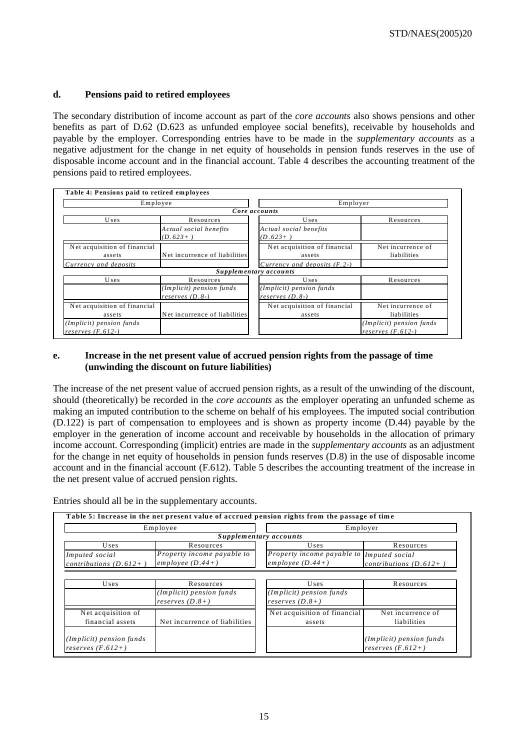## **d. Pensions paid to retired employees**

The secondary distribution of income account as part of the *core accounts* also shows pensions and other benefits as part of D.62 (D.623 as unfunded employee social benefits), receivable by households and payable by the employer. Corresponding entries have to be made in the *supplementary accounts* as a negative adjustment for the change in net equity of households in pension funds reserves in the use of disposable income account and in the financial account. Table 4 describes the accounting treatment of the pensions paid to retired employees.

| Employee                     |                               | Employer                        |                          |  |  |
|------------------------------|-------------------------------|---------------------------------|--------------------------|--|--|
|                              |                               | Core accounts                   |                          |  |  |
| Uses                         | Resources                     | Uses                            | Resources                |  |  |
|                              | Actual social benefits        | Actual social benefits          |                          |  |  |
|                              | $(D.623+)$                    | $(D.623+)$                      |                          |  |  |
| Net acquisition of financial |                               | Net acquisition of financial    | Net incurrence of        |  |  |
| assets                       | Net incurrence of liabilities | assets                          | liabilities              |  |  |
| Currency and deposits        |                               | Currency and deposits $(F, 2-)$ |                          |  |  |
|                              |                               | Supplementary accounts          |                          |  |  |
| Uses                         | Resources                     | Uses                            | Resources                |  |  |
|                              | (Implicit) pension funds      | (Implicit) pension funds        |                          |  |  |
|                              | reserves $(D.8-)$             | reserves $(D.8-)$               |                          |  |  |
| Net acquisition of financial |                               | Net acquisition of financial    | Net incurrence of        |  |  |
| assets                       | Net incurrence of liabilities | assets                          | liabilities              |  |  |
| (Implicit) pension funds     |                               |                                 | (Implicit) pension funds |  |  |
| reserves $(F.612-)$          |                               |                                 | reserves $(F. 612)$      |  |  |

## **e. Increase in the net present value of accrued pension rights from the passage of time (unwinding the discount on future liabilities)**

The increase of the net present value of accrued pension rights, as a result of the unwinding of the discount, should (theoretically) be recorded in the *core accounts* as the employer operating an unfunded scheme as making an imputed contribution to the scheme on behalf of his employees. The imputed social contribution (D.122) is part of compensation to employees and is shown as property income (D.44) payable by the employer in the generation of income account and receivable by households in the allocation of primary income account. Corresponding (implicit) entries are made in the *supplementary accounts* as an adjustment for the change in net equity of households in pension funds reserves (D.8) in the use of disposable income account and in the financial account (F.612). Table 5 describes the accounting treatment of the increase in the net present value of accrued pension rights.

Entries should all be in the supplementary accounts.

| Employee                               |                                               | Employer                                      |                          |  |
|----------------------------------------|-----------------------------------------------|-----------------------------------------------|--------------------------|--|
|                                        |                                               | Supplementary accounts                        |                          |  |
| Uses                                   | Resources                                     | Uses                                          | Resources                |  |
| Imputed social                         | Property income payable to                    | Property income payable to Imputed social     |                          |  |
| contributions $(D.612+)$               | employee $(D.44+)$                            | $emplope (D.44+)$                             | contributions $(D.612+)$ |  |
|                                        | (Implicit) pension funds<br>reserves $(D.8+)$ | (Implicit) pension funds<br>reserves $(D.8+)$ |                          |  |
|                                        |                                               | Net acquisition of financial                  | Net incurrence of        |  |
| Net acquisition of<br>financial assets | Net incurrence of liabilities                 | assets                                        | liabilities              |  |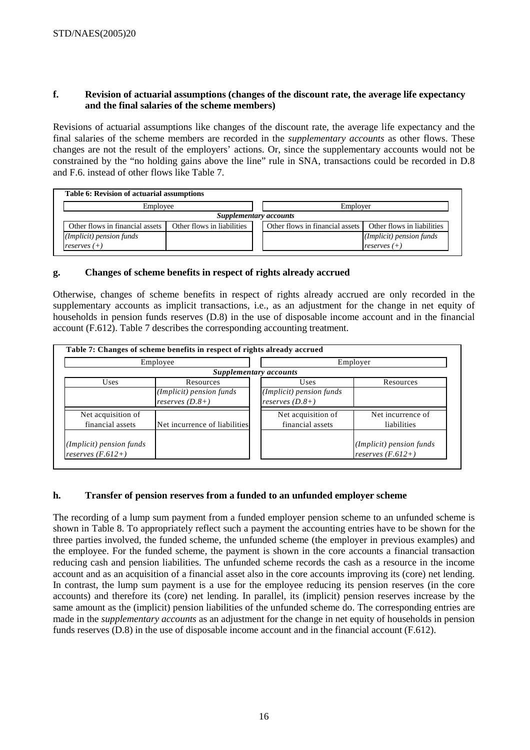## **f. Revision of actuarial assumptions (changes of the discount rate, the average life expectancy and the final salaries of the scheme members)**

Revisions of actuarial assumptions like changes of the discount rate, the average life expectancy and the final salaries of the scheme members are recorded in the *supplementary accounts* as other flows. These changes are not the result of the employers' actions. Or, since the supplementary accounts would not be constrained by the "no holding gains above the line" rule in SNA, transactions could be recorded in D.8 and F.6. instead of other flows like Table 7.

| Table 6: Revision of actuarial assumptions                    |  |  |                                                           |  |  |  |
|---------------------------------------------------------------|--|--|-----------------------------------------------------------|--|--|--|
| Employee                                                      |  |  | Employer                                                  |  |  |  |
|                                                               |  |  |                                                           |  |  |  |
| Other flows in financial assets<br>Other flows in liabilities |  |  | Other flows in liabilities                                |  |  |  |
|                                                               |  |  | (Implicit) pension funds                                  |  |  |  |
| reserves $(+)$                                                |  |  | reserves $(+)$                                            |  |  |  |
|                                                               |  |  | Supplementary accounts<br>Other flows in financial assets |  |  |  |

# **g. Changes of scheme benefits in respect of rights already accrued**

Otherwise, changes of scheme benefits in respect of rights already accrued are only recorded in the supplementary accounts as implicit transactions, i.e., as an adjustment for the change in net equity of households in pension funds reserves (D.8) in the use of disposable income account and in the financial account (F.612). Table 7 describes the corresponding accounting treatment.

| Employee                                        |                               | Employer                 |                                                 |  |
|-------------------------------------------------|-------------------------------|--------------------------|-------------------------------------------------|--|
|                                                 |                               | Supplementary accounts   |                                                 |  |
| Uses                                            | Resources                     | Uses<br>Resources        |                                                 |  |
|                                                 | (Implicit) pension funds      | (Implicit) pension funds |                                                 |  |
|                                                 | reserves $(D.8+)$             | reserves $(D.8+)$        |                                                 |  |
| Net acquisition of                              |                               | Net acquisition of       | Net incurrence of                               |  |
| financial assets                                | Net incurrence of liabilities | financial assets         | liabilities                                     |  |
| (Implicit) pension funds<br>reserves $(F.612+)$ |                               |                          | (Implicit) pension funds<br>reserves $(F.612+)$ |  |

# **h. Transfer of pension reserves from a funded to an unfunded employer scheme**

The recording of a lump sum payment from a funded employer pension scheme to an unfunded scheme is shown in Table 8. To appropriately reflect such a payment the accounting entries have to be shown for the three parties involved, the funded scheme, the unfunded scheme (the employer in previous examples) and the employee. For the funded scheme, the payment is shown in the core accounts a financial transaction reducing cash and pension liabilities. The unfunded scheme records the cash as a resource in the income account and as an acquisition of a financial asset also in the core accounts improving its (core) net lending. In contrast, the lump sum payment is a use for the employee reducing its pension reserves (in the core accounts) and therefore its (core) net lending. In parallel, its (implicit) pension reserves increase by the same amount as the (implicit) pension liabilities of the unfunded scheme do. The corresponding entries are made in the *supplementary accounts* as an adjustment for the change in net equity of households in pension funds reserves (D.8) in the use of disposable income account and in the financial account (F.612).